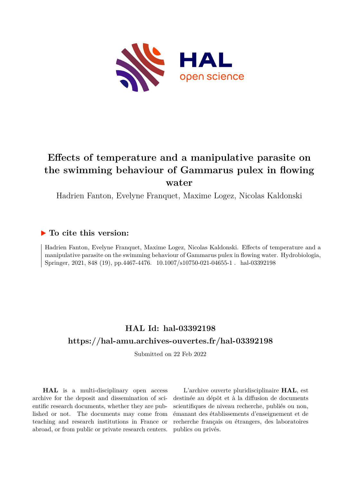

# **Effects of temperature and a manipulative parasite on the swimming behaviour of Gammarus pulex in flowing water**

Hadrien Fanton, Evelyne Franquet, Maxime Logez, Nicolas Kaldonski

### **To cite this version:**

Hadrien Fanton, Evelyne Franquet, Maxime Logez, Nicolas Kaldonski. Effects of temperature and a manipulative parasite on the swimming behaviour of Gammarus pulex in flowing water. Hydrobiologia, Springer, 2021, 848 (19), pp.4467-4476.  $10.1007/s10750-021-04655-1$ . hal-03392198

## **HAL Id: hal-03392198 <https://hal-amu.archives-ouvertes.fr/hal-03392198>**

Submitted on 22 Feb 2022

**HAL** is a multi-disciplinary open access archive for the deposit and dissemination of scientific research documents, whether they are published or not. The documents may come from teaching and research institutions in France or abroad, or from public or private research centers.

L'archive ouverte pluridisciplinaire **HAL**, est destinée au dépôt et à la diffusion de documents scientifiques de niveau recherche, publiés ou non, émanant des établissements d'enseignement et de recherche français ou étrangers, des laboratoires publics ou privés.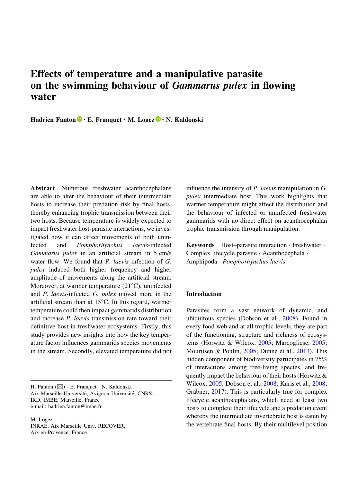## Effects of temperature and a manipulative parasite on the swimming behaviour of Gammarus pulex in flowing water

Hadrien Fanton  $\mathbf{\mathbb{D}} \cdot \mathbf{E}$ . Franquet  $\cdot \mathbf{M}$ . Logez  $\mathbf{\mathbb{D}} \cdot \mathbf{N}$ . Kaldonski

Abstract Numerous freshwater acanthocephalans are able to alter the behaviour of their intermediate hosts to increase their predation risk by final hosts, thereby enhancing trophic transmission between their two hosts. Because temperature is widely expected to impact freshwater host-parasite interactions, we investigated how it can affect movements of both uninfected and Pomphorhynchus laevis-infected Gammarus pulex in an artificial stream in 5 cm/s water flow. We found that *P. laevis* infection of *G.* pulex induced both higher frequency and higher amplitude of movements along the artificial stream. Moreover, at warmer temperature  $(21^{\circ}C)$ , uninfected and P. laevis-infected G. pulex moved more in the artificial stream than at  $15^{\circ}$ C. In this regard, warmer temperature could then impact gammarids distribution and increase P. laevis transmission rate toward their definitive host in freshwater ecosystems. Firstly, this study provides new insights into how the key temperature factor influences gammarids species movements in the stream. Secondly, elevated temperature did not

H. Fanton (⊠) · E. Franquet · N. Kaldonski Aix Marseille Université, Avignon Université, CNRS, IRD, IMBE, Marseille, France e-mail: hadrien.fanton@imbe.fr

M. Logez INRAE, Aix Marseille Univ, RECOVER, Aix-en-Provence, France

influence the intensity of P. laevis manipulation in G. pulex intermediate host. This work highlights that warmer temperature might affect the distribution and the behaviour of infected or uninfected freshwater gammarids with no direct effect on acanthocephalan trophic transmission through manipulation.

Keywords Host–parasite interaction - Freshwater - Complex lifecycle parasite - Acanthocephala - Amphipoda - Pomphorhynchus laevis

#### Introduction

Parasites form a vast network of dynamic, and ubiquitous species (Dobson et al., 2008). Found in every food web and at all trophic levels, they are part of the functioning, structure and richness of ecosystems (Horwitz & Wilcox, 2005; Marcogliese, 2005; Mouritsen & Poulin, 2005; Dunne et al., 2013). This hidden component of biodiversity participates in 75% of interactions among free-living species, and frequently impact the behaviour of their hosts (Horwitz & Wilcox, 2005; Dobson et al., 2008; Kuris et al., 2008; Grabner, 2017). This is particularly true for complex lifecycle acanthocephalans, which need at least two hosts to complete their lifecycle and a predation event whereby the intermediate invertebrate host is eaten by the vertebrate final hosts. By their multilevel position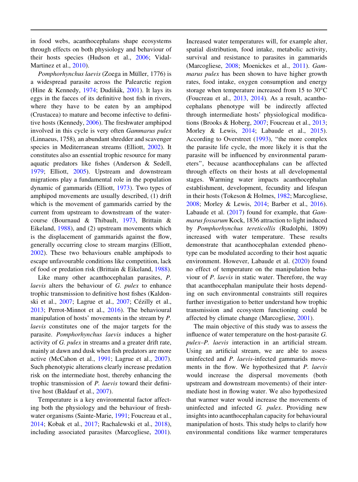in food webs, acanthocephalans shape ecosystems through effects on both physiology and behaviour of their hosts species (Hudson et al., 2006; Vidal-Martinez et al., 2010).

Pomphorhynchus laevis (Zoega in Müller, 1776) is a widespread parasite across the Palearctic region (Hine & Kennedy, 1974; Dudiňák, 2001). It lays its eggs in the faeces of its definitive host fish in rivers, where they have to be eaten by an amphipod (Crustacea) to mature and become infective to definitive hosts (Kennedy, 2006). The freshwater amphipod involved in this cycle is very often Gammarus pulex (Linnaeus, 1758), an abundant shredder and scavenger species in Mediterranean streams (Elliott, 2002). It constitutes also an essential trophic resource for many aquatic predators like fishes (Anderson & Sedell, 1979; Elliott, 2005). Upstream and downstream migrations play a fundamental role in the population dynamic of gammarids (Elliott, 1973). Two types of amphipod movements are usually described, (1) drift which is the movement of gammarids carried by the current from upstream to downstream of the watercourse (Bournaud & Thibault, 1973, Brittain & Eikeland, 1988), and (2) upstream movements which is the displacement of gammarids against the flow, generally occurring close to stream margins (Elliott, 2002). These two behaviours enable amphipods to escape unfavourable conditions like competition, lack of food or predation risk (Brittain & Eikeland, 1988).

Like many other acanthocephalan parasites, P. laevis alters the behaviour of G. pulex to enhance trophic transmission to definitive host fishes (Kaldonski et al.,  $2007$ ; Lagrue et al.,  $2007$ ; Cézilly et al., 2013; Perrot-Minnot et al., 2016). The behavioural manipulation of hosts' movements in the stream by P. laevis constitutes one of the major targets for the parasite. Pomphorhynchus laevis induces a higher activity of G. pulex in streams and a greater drift rate, mainly at dawn and dusk when fish predators are more active (McCahon et al., 1991; Lagrue et al., 2007). Such phenotypic alterations clearly increase predation risk on the intermediate host, thereby enhancing the trophic transmission of P. laevis toward their definitive host (Baldauf et al., 2007).

Temperature is a key environmental factor affecting both the physiology and the behaviour of freshwater organisms (Sainte-Marie, 1991; Foucreau et al., 2014; Kobak et al., 2017; Rachalewski et al., 2018), including associated parasites (Marcogliese, 2001).

Increased water temperatures will, for example alter, spatial distribution, food intake, metabolic activity, survival and resistance to parasites in gammarids (Marcogliese, 2008; Moenickes et al., 2011). Gammarus pulex has been shown to have higher growth rates, food intake, oxygen consumption and energy storage when temperature increased from 15 to  $30^{\circ}$ C (Foucreau et al., 2013, 2014). As a result, acanthocephalans phenotype will be indirectly affected through intermediate hosts' physiological modifications (Brooks & Hoberg, 2007; Foucreau et al., 2013; Morley & Lewis, 2014; Labaude et al., 2015). According to Overstreet (1993), ''the more complex the parasite life cycle, the more likely it is that the parasite will be influenced by environmental parameters'', because acanthocephalans can be affected through effects on their hosts at all developmental stages. Warming water impacts acanthocephalan establishment, development, fecundity and lifespan in their hosts (Tokeson & Holmes, 1982; Marcogliese, 2008; Morley & Lewis, 2014; Barber et al., 2016). Labaude et al. (2017) found for example, that Gammarus fossarum Kock, 1836 attraction to light induced by Pomphorhynchus tereticollis (Rudolphi, 1809) increased with water temperature. These results demonstrate that acanthocephalan extended phenotype can be modulated according to their host aquatic environment. However, Labaude et al. (2020) found no effect of temperature on the manipulation behaviour of P. laevis in static water. Therefore, the way that acanthocephalan manipulate their hosts depending on such environmental constraints still requires further investigation to better understand how trophic transmission and ecosystem functioning could be affected by climate change (Marcogliese, 2001).

The main objective of this study was to assess the influence of water temperature on the host-parasite G. pulex–P. laevis interaction in an artificial stream. Using an artificial stream, we are able to assess uninfected and P. laevis-infected gammarids movements in the flow. We hypothesized that P. laevis would increase the dispersal movements (both upstream and downstream movements) of their intermediate host in flowing water. We also hypothesized that warmer water would increase the movements of uninfected and infected G. pulex. Providing new insights into acanthocephalan capacity for behavioural manipulation of hosts. This study helps to clarify how environmental conditions like warmer temperatures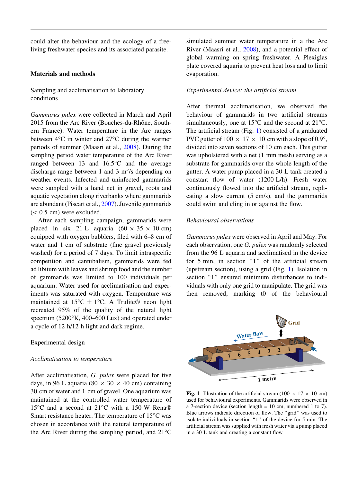could alter the behaviour and the ecology of a freeliving freshwater species and its associated parasite.

#### Materials and methods

Sampling and acclimatisation to laboratory conditions

Gammarus pulex were collected in March and April 2015 from the Arc River (Bouches-du-Rhône, Southern France). Water temperature in the Arc ranges between  $4^{\circ}$ C in winter and  $27^{\circ}$ C during the warmer periods of summer (Maasri et al., 2008). During the sampling period water temperature of the Arc River ranged between 13 and  $16.5^{\circ}$ C and the average discharge range between 1 and 3  $m^3/s$  depending on weather events. Infected and uninfected gammarids were sampled with a hand net in gravel, roots and aquatic vegetation along riverbanks where gammarids are abundant (Piscart et al., 2007). Juvenile gammarids  $(< 0.5$  cm) were excluded.

After each sampling campaign, gammarids were placed in six 21 L aquaria  $(60 \times 35 \times 10 \text{ cm})$ equipped with oxygen bubblers, filed with 6–8 cm of water and 1 cm of substrate (fine gravel previously washed) for a period of 7 days. To limit intraspecific competition and cannibalism, gammarids were fed ad libitum with leaves and shrimp food and the number of gammarids was limited to 100 individuals per aquarium. Water used for acclimatisation and experiments was saturated with oxygen. Temperature was maintained at  $15^{\circ}C \pm 1^{\circ}C$ . A Trulite® neon light recreated 95% of the quality of the natural light spectrum  $(5200\textdegree K, 400-600 \text{ Lux})$  and operated under a cycle of 12 h/12 h light and dark regime.

#### Experimental design

#### Acclimatisation to temperature

After acclimatisation, G. pulex were placed for five days, in 96 L aquaria (80  $\times$  30  $\times$  40 cm) containing 30 cm of water and 1 cm of gravel. One aquarium was maintained at the controlled water temperature of 15°C and a second at 21°C with a 150 W Rena® Smart resistance heater. The temperature of  $15^{\circ}$ C was chosen in accordance with the natural temperature of the Arc River during the sampling period, and  $21^{\circ}$ C simulated summer water temperature in a the Arc River (Maasri et al., 2008), and a potential effect of global warming on spring freshwater. A Plexiglas plate covered aquaria to prevent heat loss and to limit evaporation.

#### Experimental device: the artificial stream

After thermal acclimatisation, we observed the behaviour of gammarids in two artificial streams simultaneously, one at  $15^{\circ}$ C and the second at  $21^{\circ}$ C. The artificial stream (Fig. 1) consisted of a graduated PVC gutter of  $100 \times 17 \times 10$  cm with a slope of 0.9°, divided into seven sections of 10 cm each. This gutter was upholstered with a net (1 mm mesh) serving as a substrate for gammarids over the whole length of the gutter. A water pump placed in a 30 L tank created a constant flow of water (1200 L/h). Fresh water continuously flowed into the artificial stream, replicating a slow current (5 cm/s), and the gammarids could swim and cling in or against the flow.

#### Behavioural observations

Gammarus pulex were observed in April and May. For each observation, one G. pulex was randomly selected from the 96 L aquaria and acclimatised in the device for 5 min, in section "1" of the artificial stream (upstream section), using a grid (Fig. 1). Isolation in section "1" ensured minimum disturbances to individuals with only one grid to manipulate. The grid was then removed, marking t0 of the behavioural



Fig. 1 Illustration of the artificial stream (100  $\times$  17  $\times$  10 cm) used for behavioural experiments. Gammarids were observed in a 7-section device (section length = 10 cm, numbered 1 to 7). Blue arrows indicate direction of flow. The ''grid'' was used to isolate individuals in section "1" of the device for 5 min. The artificial stream was supplied with fresh water via a pump placed in a 30 L tank and creating a constant flow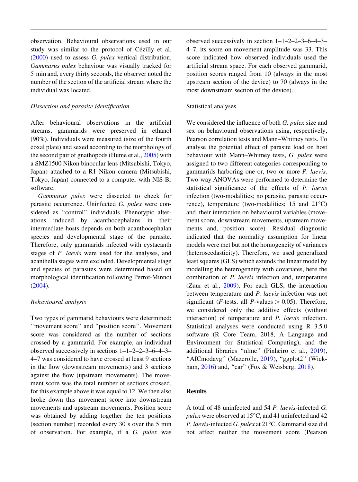observation. Behavioural observations used in our study was similar to the protocol of Cézilly et al. (2000) used to assess G. pulex vertical distribution. Gammarus pulex behaviour was visually tracked for 5 min and, every thirty seconds, the observer noted the number of the section of the artificial stream where the individual was located.

#### Dissection and parasite identification

After behavioural observations in the artificial streams, gammarids were preserved in ethanol (90%). Individuals were measured (size of the fourth coxal plate) and sexed according to the morphology of the second pair of gnathopods (Hume et al., 2005) with a SMZ1500 Nikon binocular lens (Mitsubishi, Tokyo, Japan) attached to a R1 Nikon camera (Mitsubishi, Tokyo, Japan) connected to a computer with NIS-Br software.

Gammarus pulex were dissected to check for parasite occurrence. Uninfected G. pulex were considered as ''control'' individuals. Phenotypic alterations induced by acanthocephalans in their intermediate hosts depends on both acanthocephalan species and developmental stage of the parasite. Therefore, only gammarids infected with cystacanth stages of P. laevis were used for the analyses, and acanthella stages were excluded. Developmental stage and species of parasites were determined based on morphological identification following Perrot-Minnot (2004).

#### Behavioural analysis

Two types of gammarid behaviours were determined: ''movement score'' and ''position score''. Movement score was considered as the number of sections crossed by a gammarid. For example, an individual observed successively in sections 1–1–2–2–3–6–4–3– 4–7 was considered to have crossed at least 9 sections in the flow (downstream movements) and 3 sections against the flow (upstream movements). The movement score was the total number of sections crossed, for this example above it was equal to 12. We then also broke down this movement score into downstream movements and upstream movements. Position score was obtained by adding together the ten positions (section number) recorded every 30 s over the 5 min of observation. For example, if a G. pulex was

observed successively in section 1–1–2–2–3–6–4–3– 4–7, its score on movement amplitude was 33. This score indicated how observed individuals used the artificial stream space. For each observed gammarid, position scores ranged from 10 (always in the most upstream section of the device) to 70 (always in the most downstream section of the device).

#### Statistical analyses

We considered the influence of both G. pulex size and sex on behavioural observations using, respectively, Pearson correlation tests and Mann–Whitney tests. To analyse the potential effect of parasite load on host behaviour with Mann–Whitney tests, G. pulex were assigned to two different categories corresponding to gammarids harboring one or, two or more P. laevis. Two-way ANOVAs were performed to determine the statistical significance of the effects of P. laevis infection (two-modalities; no parasite, parasite occurrence), temperature (two-modalities;  $15$  and  $21^{\circ}$ C) and, their interaction on behavioural variables (movement score, downstream movements, upstream movements and, position score). Residual diagnostic indicated that the normality assumption for linear models were met but not the homogeneity of variances (heteroscedasticity). Therefore, we used generalized least squares (GLS) which extends the linear model by modelling the heterogeneity with covariates, here the combination of P. laevis infection and, temperature (Zuur et al., 2009). For each GLS, the interaction between temperature and P. laevis infection was not significant (*F*-tests, all *P*-values  $> 0.05$ ). Therefore, we considered only the additive effects (without interaction) of temperature and *P. laevis* infection. Statistical analyses were conducted using R 3.5.0 software (R Core Team, 2018, A Language and Environment for Statistical Computing), and the additional libraries ''nlme'' (Pinheiro et al., 2019), ''AICmodavg'' (Mazerolle, 2019), ''ggplot2'' (Wickham, 2016) and, "car" (Fox & Weisberg, 2018).

#### Results

A total of 48 uninfected and 54 P. laevis-infected G. pulex were observed at  $15^{\circ}$ C, and 41 uninfected and 42 P. laevis-infected G. pulex at  $21^{\circ}$ C. Gammarid size did not affect neither the movement score (Pearson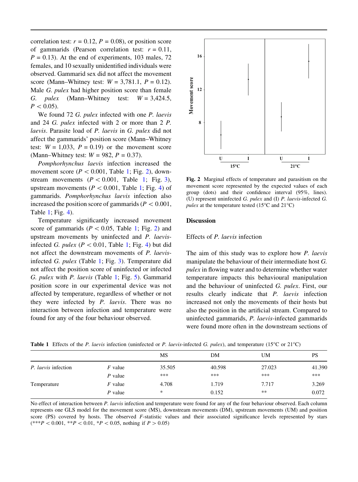correlation test:  $r = 0.12$ ,  $P = 0.08$ ), or position score of gammarids (Pearson correlation test:  $r = 0.11$ ,  $P = 0.13$ ). At the end of experiments, 103 males, 72 females, and 10 sexually unidentified individuals were observed. Gammarid sex did not affect the movement score (Mann–Whitney test:  $W = 3.781.1$ ,  $P = 0.12$ ). Male G. pulex had higher position score than female G. *pulex* (Mann–Whitney test:  $W = 3,424.5$ ,  $P < 0.05$ ).

We found 72 G. pulex infected with one P. laevis and 24 G. pulex infected with 2 or more than 2 P. laevis. Parasite load of P. laevis in G. pulex did not affect the gammarids' position score (Mann–Whitney test:  $W = 1,033$ ,  $P = 0.19$  or the movement score (Mann–Whitney test:  $W = 982$ ,  $P = 0.37$ ).

Pomphorhynchus laevis infection increased the movement score ( $P < 0.001$ , Table 1; Fig. 2), downstream movements  $(P < 0.001$ , Table 1; Fig. 3), upstream movements ( $P < 0.001$ , Table 1; Fig. 4) of gammarids. Pomphorhynchus laevis infection also increased the position score of gammarids ( $P < 0.001$ , Table 1; Fig. 4).

Temperature significantly increased movement score of gammarids ( $P < 0.05$ , Table 1; Fig. 2) and upstream movements by uninfected and P. laevisinfected G. pulex ( $P \lt 0.01$ , Table 1; Fig. 4) but did not affect the downstream movements of P. laevisinfected G. pulex (Table 1; Fig. 3). Temperature did not affect the position score of uninfected or infected G. pulex with P. laevis (Table 1; Fig. 5). Gammarid position score in our experimental device was not affected by temperature, regardless of whether or not they were infected by P. laevis. There was no interaction between infection and temperature were found for any of the four behaviour observed.



Fig. 2 Marginal effects of temperature and parasitism on the movement score represented by the expected values of each group (dots) and their confidence interval (95%, lines). (U) represent uninfected G. pulex and (I) P. laevis-infected G. pulex at the temperature tested (15 $\rm ^{o}C$  and 21 $\rm ^{o}C$ )

#### Discussion

#### Effects of P. laevis infection

The aim of this study was to explore how *P. laevis* manipulate the behaviour of their intermediate host G. pulex in flowing water and to determine whether water temperature impacts this behavioural manipulation and the behaviour of uninfected G. pulex. First, our results clearly indicate that P. laevis infection increased not only the movements of their hosts but also the position in the artificial stream. Compared to uninfected gammarids, P. laevis-infected gammarids were found more often in the downstream sections of

|  | Table 1 Effects of the P. laevis infection (uninfected or P. laevis-infected G. pulex), and temperature (15°C or 21°C) |  |  |  |  |  |  |  |  |  |
|--|------------------------------------------------------------------------------------------------------------------------|--|--|--|--|--|--|--|--|--|
|--|------------------------------------------------------------------------------------------------------------------------|--|--|--|--|--|--|--|--|--|

|                            |           | MS     | DM     | UM     | PS     |
|----------------------------|-----------|--------|--------|--------|--------|
| <i>P. laevis</i> infection | F value   | 35.505 | 40.598 | 27.023 | 41.390 |
|                            | $P$ value | ***    | ***    | ***    | ***    |
| Temperature                | $F$ value | 4.708  | 1.719  | 7.717  | 3.269  |
|                            | $P$ value | *      | 0.152  | $**$   | 0.072  |

No effect of interaction between P. laevis infection and temperature were found for any of the four behaviour observed. Each column represents one GLS model for the movement score (MS), downstream movements (DM), upstream movements (UM) and position score (PS) covered by hosts. The observed F-statistic values and their associated significance levels represented by stars  $(***P < 0.001, **P < 0.01, *P < 0.05,$  nothing if  $P > 0.05$ )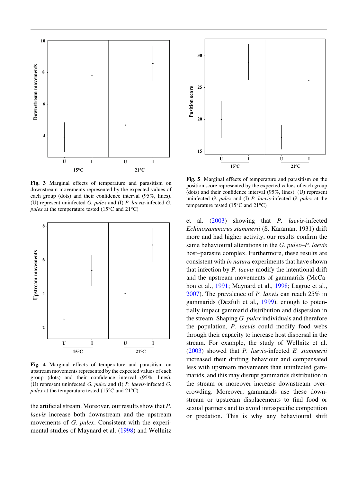

Fig. 3 Marginal effects of temperature and parasitism on downstream movements represented by the expected values of each group (dots) and their confidence interval (95%, lines). (U) represent uninfected G. pulex and (I) P. laevis-infected G. pulex at the temperature tested (15 $\mathrm{^{\circ}C}$  and 21 $\mathrm{^{\circ}C}$ )



Fig. 4 Marginal effects of temperature and parasitism on upstream movements represented by the expected values of each group (dots) and their confidence interval (95%, lines). (U) represent uninfected G. pulex and (I) P. laevis-infected G. pulex at the temperature tested (15 $^{\circ}$ C and 21 $^{\circ}$ C)

the artificial stream. Moreover, our results show that  $P$ . laevis increase both downstream and the upstream movements of G. pulex. Consistent with the experimental studies of Maynard et al. (1998) and Wellnitz



Fig. 5 Marginal effects of temperature and parasitism on the position score represented by the expected values of each group (dots) and their confidence interval (95%, lines). (U) represent uninfected  $G.$  pulex and  $(I)$   $P.$  laevis-infected  $G.$  pulex at the temperature tested (15 $\degree$ C and 21 $\degree$ C)

et al. (2003) showing that P. laevis-infected Echinogammarus stammerii (S. Karaman, 1931) drift more and had higher activity, our results confirm the same behavioural alterations in the G. pulex–P. laevis host–parasite complex. Furthermore, these results are consistent with in natura experiments that have shown that infection by P. laevis modify the intentional drift and the upstream movements of gammarids (McCahon et al., 1991; Maynard et al., 1998; Lagrue et al., 2007). The prevalence of P. laevis can reach 25% in gammarids (Dezfuli et al., 1999), enough to potentially impact gammarid distribution and dispersion in the stream. Shaping G. pulex individuals and therefore the population, P. laevis could modify food webs through their capacity to increase host dispersal in the stream. For example, the study of Wellnitz et al. (2003) showed that P. laevis-infected E. stammerii increased their drifting behaviour and compensated less with upstream movements than uninfected gammarids, and this may disrupt gammarids distribution in the stream or moreover increase downstream overcrowding. Moreover, gammarids use these downstream or upstream displacements to find food or sexual partners and to avoid intraspecific competition or predation. This is why any behavioural shift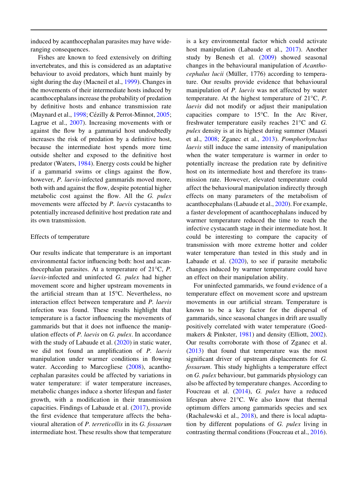induced by acanthocephalan parasites may have wideranging consequences.

Fishes are known to feed extensively on drifting invertebrates, and this is considered as an adaptative behaviour to avoid predators, which hunt mainly by sight during the day (Macneil et al., 1999). Changes in the movements of their intermediate hosts induced by acanthocephalans increase the probability of predation by definitive hosts and enhance transmission rate (Maynard et al., 1998; Cézilly & Perrot-Minnot, 2005; Lagrue et al., 2007). Increasing movements with or against the flow by a gammarid host undoubtedly increases the risk of predation by a definitive host, because the intermediate host spends more time outside shelter and exposed to the definitive host predator (Waters, 1984). Energy costs could be higher if a gammarid swims or clings against the flow, however, *P. laevis*-infected gammarids moved more, both with and against the flow, despite potential higher metabolic cost against the flow. All the G. pulex movements were affected by P. laevis cystacanths to potentially increased definitive host predation rate and its own transmission.

#### Effects of temperature

Our results indicate that temperature is an important environmental factor influencing both: host and acanthocephalan parasites. At a temperature of  $21^{\circ}$ C, P. laevis-infected and uninfected G. pulex had higher movement score and higher upstream movements in the artificial stream than at  $15^{\circ}$ C. Nevertheless, no interaction effect between temperature and P. laevis infection was found. These results highlight that temperature is a factor influencing the movements of gammarids but that it does not influence the manipulation effects of P. laevis on G. pulex. In accordance with the study of Labaude et al. (2020) in static water, we did not found an amplification of P. laevis manipulation under warmer conditions in flowing water. According to Marcogliese (2008), acanthocephalan parasites could be affected by variations in water temperature: if water temperature increases, metabolic changes induce a shorter lifespan and faster growth, with a modification in their transmission capacities. Findings of Labaude et al. (2017), provide the first evidence that temperature affects the behavioural alteration of P. terreticollis in its G. fossarum intermediate host. These results show that temperature

is a key environmental factor which could activate host manipulation (Labaude et al., 2017). Another study by Benesh et al. (2009) showed seasonal changes in the behavioural manipulation of Acantho $cephalus lucii$  (Müller, 1776) according to temperature. Our results provide evidence that behavioural manipulation of P. laevis was not affected by water temperature. At the highest temperature of  $21^{\circ}$ C, P. laevis did not modify or adjust their manipulation capacities compare to  $15^{\circ}$ C. In the Arc River, freshwater temperature easily reaches  $21^{\circ}$ C and G. pulex density is at its highest during summer (Maasri et al., 2008; Zganec et al., 2013). Pomphorhynchus laevis still induce the same intensity of manipulation when the water temperature is warmer in order to potentially increase the predation rate by definitive host on its intermediate host and therefore its transmission rate. However, elevated temperature could affect the behavioural manipulation indirectly through effects on many parameters of the metabolism of acanthocephalans (Labaude et al., 2020). For example, a faster development of acanthocephalans induced by warmer temperature reduced the time to reach the infective cystacanth stage in their intermediate host. It could be interesting to compare the capacity of transmission with more extreme hotter and colder water temperature than tested in this study and in Labaude et al. (2020), to see if parasite metabolic changes induced by warmer temperature could have an effect on their manipulation ability.

For uninfected gammarids, we found evidence of a temperature effect on movement score and upstream movements in our artificial stream. Temperature is known to be a key factor for the dispersal of gammarids, since seasonal changes in drift are usually positively correlated with water temperature (Goedmakers & Pinkster, 1981) and density (Elliott, 2002). Our results corroborate with those of Zganec et al. (2013) that found that temperature was the most significant driver of upstream displacements for G. fossarum. This study highlights a temperature effect on G. pulex behaviour, but gammarids physiology can also be affected by temperature changes. According to Foucreau et al. (2014), G. pulex have a reduced lifespan above  $21^{\circ}$ C. We also know that thermal optimum differs among gammarids species and sex (Rachalewski et al., 2018), and there is local adaptation by different populations of G. pulex living in contrasting thermal conditions (Foucreau et al., 2016).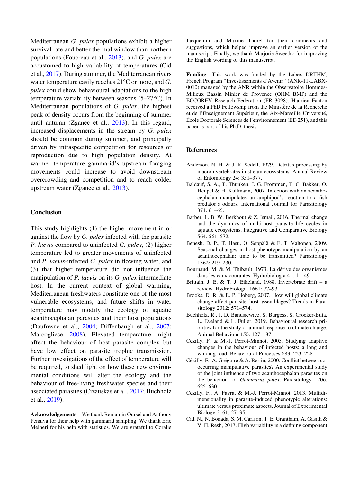Mediterranean G. pulex populations exhibit a higher survival rate and better thermal window than northern populations (Foucreau et al., 2013), and G. pulex are accustomed to high variability of temperatures (Cid et al., 2017). During summer, the Mediterranean rivers water temperature easily reaches  $21^{\circ}$ C or more, and G. pulex could show behavioural adaptations to the high temperature variability between seasons  $(5-27^{\circ}C)$ . In Mediterranean populations of G. pulex, the highest peak of density occurs from the beginning of summer until autumn (Zganec et al., 2013). In this regard, increased displacements in the stream by G. pulex should be common during summer, and principally driven by intraspecific competition for resources or reproduction due to high population density. At warmer temperature gammarid's upstream foraging movements could increase to avoid downstream overcrowding and competition and to reach colder upstream water (Zganec et al., 2013).

#### Conclusion

This study highlights (1) the higher movement in or against the flow by G. pulex infected with the parasite P. laevis compared to uninfected G. pulex, (2) higher temperature led to greater movements of uninfected and P. laevis-infected G. pulex in flowing water, and (3) that higher temperature did not influence the manipulation of P. laevis on its G. pulex intermediate host. In the current context of global warming, Mediterranean freshwaters constitute one of the most vulnerable ecosystems, and future shifts in water temperature may modify the ecology of aquatic acanthocephalan parasites and their host populations (Daufresne et al., 2004; Diffenbaugh et al., 2007; Marcogliese, 2008). Elevated temperature might affect the behaviour of host–parasite complex but have low effect on parasite trophic transmission. Further investigations of the effect of temperature will be required, to shed light on how these new environmental conditions will alter the ecology and the behaviour of free-living freshwater species and their associated parasites (Cizauskas et al., 2017; Buchholz et al., 2019).

Acknowledgements We thank Benjamin Oursel and Anthony Penalva for their help with gammarid sampling. We thank Eric Meineri for his help with statistics. We are grateful to Coralie

Jacquemin and Maxine Thorel for their comments and suggestions, which helped improve an earlier version of the manuscript. Finally, we thank Marjorie Sweetko for improving the English wording of this manuscript.

Funding This work was funded by the Labex DRIIHM, French Program ''Investissements d'Avenir'' (ANR-11-LABX-0010) managed by the ANR within the Observatoire Hommes-Milieux Bassin Minier de Provence (OHM BMP) and the ECCOREV Research Federation (FR 3098). Hadrien Fanton received a PhD Fellowship from the Ministère de la Recherche et de l'Enseignement Supérieur, the Aix-Marseille Université,  $\acute{E}$ cole Doctorale Sciences de l'environnement (ED 251), and this paper is part of his Ph.D. thesis.

#### References

- Anderson, N. H. & J. R. Sedell, 1979. Detritus processing by macroinvertebrates in stream ecosystems. Annual Review of Entomology 24: 351–377.
- Baldauf, S. A., T. Thünken, J. G. Frommen, T. C. Bakker, O. Heupel & H. Kullmann, 2007. Infection with an acanthocephalan manipulates an amphipod's reaction to a fish predator's odours. International Journal for Parasitology 371: 61–65.
- Barber, I., B. W. Berkhout & Z. Ismail, 2016. Thermal change and the dynamics of multi-host parasite life cycles in aquatic ecosystems. Integrative and Comparative Biology 564: 561–572.
- Benesh, D. P., T. Hasu, O. Seppälä & E. T. Valtonen, 2009. Seasonal changes in host phenotype manipulation by an acanthocephalan: time to be transmitted? Parasitology 1362: 219–230.
- Bournaud, M. & M. Thibault, 1973. La dérive des organismes dans les eaux courantes. Hydrobiologia 41: 11–49.
- Brittain, J. E. & T. J. Eikeland, 1988. Invertebrate drift a review. Hydrobiologia 1661: 77–93.
- Brooks, D. R. & E. P. Hoberg, 2007. How will global climate change affect parasite–host assemblages? Trends in Parasitology 2312: 571–574.
- Buchholz, R., J. D. Banusiewicz, S. Burgess, S. Crocker-Buta, L. Eveland & L. Fuller, 2019. Behavioural research priorities for the study of animal response to climate change. Animal Behaviour 150: 127–137.
- Cézilly, F. & M.-J. Perrot-Minnot, 2005. Studying adaptive changes in the behaviour of infected hosts: a long and winding road. Behavioural Processes 683: 223–228.
- Cézilly, F., A. Grégoire & A. Bertin, 2000. Conflict between cooccurring manipulative parasites? An experimental study of the joint influence of two acanthocephalan parasites on the behaviour of Gammarus pulex. Parasitology 1206: 625–630.
- Cézilly, F., A. Favrat & M.-J. Perrot-Minnot, 2013. Multidimensionality in parasite-induced phenotypic alterations: ultimate versus proximate aspects. Journal of Experimental Biology 2161: 27–35.
- Cid, N., N. Bonada, S. M. Carlson, T. E. Grantham, A. Gasith & V. H. Resh, 2017. High variability is a defining component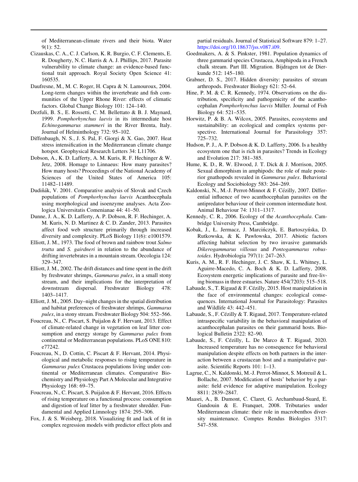of Mediterranean-climate rivers and their biota. Water 9(1): 52.

- Cizauskas, C. A., C. J. Carlson, K. R. Burgio, C. F. Clements, E. R. Dougherty, N. C. Harris & A. J. Phillips, 2017. Parasite vulnerability to climate change: an evidence-based functional trait approach. Royal Society Open Science 41: 160535.
- Daufresne, M., M. C. Roger, H. Capra & N. Lamouroux, 2004. Long-term changes within the invertebrate and fish communities of the Upper Rhone River: effects of climatic factors. Global Change Biology 101: 124–140.
- Dezfuli, B. S., E. Rossetti, C. M. Bellettato & B. J. Maynard, 1999. Pomphorhynchus laevis in its intermediate host Echinogammarus stammeri in the River Brenta, Italy. Journal of Helminthology 732: 95–102.
- Diffenbaugh, N. S., J. S. Pal, F. Giorgi & X. Gao, 2007. Heat stress intensification in the Mediterranean climate change hotspot. Geophysical Research Letters 34: L11706.
- Dobson, A., K. D. Lafferty, A. M. Kuris, R. F. Hechinger & W. Jetz, 2008. Homage to Linnaeus: How many parasites? How many hosts? Proceedings of the National Academy of Sciences of the United States of America 105: 11482–11489.
- Dudiňák, V. 2001. Comparative analysis of Slovak and Czech populations of Pomphorhynchus laevis Acanthocephala using morphological and isoenzyme analyses. Acta Zoologica Universitatis Comenianae 44: 41–50.
- Dunne, J. A., K. D. Lafferty, A. P. Dobson, R. F. Hechinger, A. M. Kuris, N. D. Martinez & C. D. Zander, 2013. Parasites affect food web structure primarily through increased diversity and complexity. PLoS Biology 11(6): e1001579.
- Elliott, J. M., 1973. The food of brown and rainbow trout Salmo trutta and S. gairdneri in relation to the abundance of drifting invertebrates in a mountain stream. Oecologia 124: 329–347.
- Elliott, J. M., 2002. The drift distances and time spent in the drift by freshwater shrimps, Gammarus pulex, in a small stony stream, and their implications for the interpretation of downstream dispersal. Freshwater Biology 478: 1403–1417.
- Elliott, J. M., 2005. Day–night changes in the spatial distribution and habitat preferences of freshwater shrimps, Gammarus pulex, in a stony stream. Freshwater Biology 504: 552–566.
- Foucreau, N., C. Piscart, S. Puijalon & F. Hervant, 2013. Effect of climate-related change in vegetation on leaf litter consumption and energy storage by Gammarus pulex from continental or Mediterranean populations. PLoS ONE 810: e77242.
- Foucreau, N., D. Cottin, C. Piscart & F. Hervant, 2014. Physiological and metabolic responses to rising temperature in Gammarus pulex Crustacea populations living under continental or Mediterranean climates. Comparative Biochemistry and Physiology Part A Molecular and Integrative Physiology 168: 69–75.
- Foucreau, N., C. Piscart, S. Puijalon & F. Hervant, 2016. Effects of rising temperature on a functional process: consumption and digestion of leaf litter by a freshwater shredder. Fundamental and Applied Limnology 1874: 295–306.
- Fox, J. & S. Weisberg, 2018. Visualizing fit and lack of fit in complex regression models with predictor effect plots and

partial residuals. Journal of Statistical Software 879: 1–27. <https://doi.org/10.18637/jss.v087.i09>.

- Goedmakers, A. & S. Pinkster, 1981. Population dynamics of three gammarid species Crustacea, Amphipoda in a French chalk stream. Part III. Migration. Bijdragen tot de Dierkunde 512: 145–180.
- Grabner, D. S., 2017. Hidden diversity: parasites of stream arthropods. Freshwater Biology 621: 52–64.
- Hine, P. M. & C. R. Kennedy, 1974. Observations on the distribution, specificity and pathogenicity of the acanthocephalan Pomphorhynchus laevis Müller. Journal of Fish Biology 64: 521–535.
- Horwitz, P. & B. A. Wilcox, 2005. Parasites, ecosystems and sustainability: an ecological and complex systems perspective. International Journal for Parasitology 357: 725–732.
- Hudson, P. J., A. P. Dobson & K. D. Lafferty, 2006. Is a healthy ecosystem one that is rich in parasites? Trends in Ecology and Evolution 217: 381–385.
- Hume, K. D., R. W. Elwood, J. T. Dick & J. Morrison, 2005. Sexual dimorphism in amphipods: the role of male posterior gnathopods revealed in Gammarus pulex. Behavioral Ecology and Sociobiology 583: 264–269.
- Kaldonski, N., M.-J. Perrot-Minnot & F. Cézilly, 2007. Differential influence of two acanthocephalan parasites on the antipredator behaviour of their common intermediate host. Animal Behaviour 74: 1311–1317.
- Kennedy, C. R., 2006. Ecology of the Acanthocephala. Cambridge University Press, Cambridge.
- Kobak, J., Ł. Jermacz, J. Marcińczyk, E. Bartoszyńska, D. Rutkowska, & K. Pawłowska, 2017. Abiotic factors affecting habitat selection by two invasive gammarids Dikerogammarus villosus and Pontogammarus robustoides. Hydrobiologia 797(1): 247–263.
- Kuris, A. M., R. F. Hechinger, J. C. Shaw, K. L. Whitney, L. Aguirre-Macedo, C. A. Boch & K. D. Lafferty, 2008. Ecosystem energetic implications of parasite and free-living biomass in three estuaries. Nature 454(7203): 515–518.
- Labaude, S., T. Rigaud & F. Cézilly, 2015. Host manipulation in the face of environmental changes: ecological consequences. International Journal for Parasitology: Parasites and Wildlife 43: 442–451.
- Labaude, S., F. Cézilly & T. Rigaud, 2017. Temperature-related intraspecific variability in the behavioral manipulation of acanthocephalan parasites on their gammarid hosts. Biological Bulletin 2322: 82–90.
- Labaude, S., F. Cézilly, L. De Marco & T. Rigaud, 2020. Increased temperature has no consequence for behavioral manipulation despite effects on both partners in the interaction between a crustacean host and a manipulative parasite. Scientific Reports 101: 1–13.
- Lagrue, C., N. Kaldonski, M.-J. Perrot-Minnot, S. Motreuil & L. Bollache, 2007. Modification of hosts' behavior by a parasite: field evidence for adaptive manipulation. Ecology 8811: 2839–2847.
- Maasri, A., B. Dumont, C. Claret, G. Archambaud-Suard, E. Gandouin & E. Franquet, 2008. Tributaries under Mediterranean climate: their role in macrobenthos diversity maintenance. Comptes Rendus Biologies 3317: 547–558.